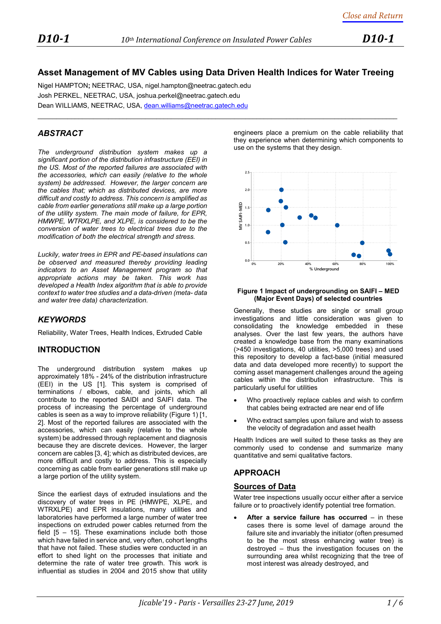# **Asset Management of MV Cables using Data Driven Health Indices for Water Treeing**

 $\_$  ,  $\_$  ,  $\_$  ,  $\_$  ,  $\_$  ,  $\_$  ,  $\_$  ,  $\_$  ,  $\_$  ,  $\_$  ,  $\_$  ,  $\_$  ,  $\_$  ,  $\_$  ,  $\_$  ,  $\_$  ,  $\_$  ,  $\_$  ,  $\_$  ,  $\_$  ,  $\_$  ,  $\_$  ,  $\_$  ,  $\_$  ,  $\_$  ,  $\_$  ,  $\_$  ,  $\_$  ,  $\_$  ,  $\_$  ,  $\_$  ,  $\_$  ,  $\_$  ,  $\_$  ,  $\_$  ,  $\_$  ,  $\_$  ,

Nigel HAMPTON**;** NEETRAC, USA, nigel.hampton@neetrac.gatech.edu Josh PERKEL, NEETRAC, USA, joshua.perkel@neetrac.gatech.edu Dean WILLIAMS, NEETRAC, USA[, dean.williams@neetrac.gatech.edu](mailto:dean.williams@neetrac.gatech.edu)

## *ABSTRACT*

*The underground distribution system makes up a significant portion of the distribution infrastructure (EEI) in the US. Most of the reported failures are associated with the accessories, which can easily (relative to the whole system) be addressed. However, the larger concern are the cables that; which as distributed devices, are more difficult and costly to address. This concern is amplified as cable from earlier generations still make up a large portion of the utility system. The main mode of failure, for EPR, HMWPE, WTRXLPE, and XLPE, is considered to be the conversion of water trees to electrical trees due to the modification of both the electrical strength and stress.*

*Luckily, water trees in EPR and PE-based insulations can be observed and measured thereby providing leading indicators to an Asset Management program so that appropriate actions may be taken. This work has developed a Health Index algorithm that is able to provide context to water tree studies and a data-driven (meta- data and water tree data) characterization.*

## *KEYWORDS*

Reliability, Water Trees, Health Indices, Extruded Cable

## **INTRODUCTION**

The underground distribution system makes up approximately 18% - 24% of the distribution infrastructure (EEI) in the US [1]. This system is comprised of terminations / elbows, cable, and joints, which all contribute to the reported SAIDI and SAIFI data. The process of increasing the percentage of underground cables is seen as a way to improve reliability (Figure 1) [1, 2]. Most of the reported failures are associated with the accessories, which can easily (relative to the whole system) be addressed through replacement and diagnosis because they are discrete devices. However, the larger concern are cables [3, 4]; which as distributed devices, are more difficult and costly to address. This is especially concerning as cable from earlier generations still make up a large portion of the utility system.

Since the earliest days of extruded insulations and the discovery of water trees in PE (HMWPE, XLPE, and WTRXLPE) and EPR insulations, many utilities and laboratories have performed a large number of water tree inspections on extruded power cables returned from the field  $[5 - 15]$ . These examinations include both those which have failed in service and, very often, cohort lengths that have not failed. These studies were conducted in an effort to shed light on the processes that initiate and determine the rate of water tree growth. This work is influential as studies in 2004 and 2015 show that utility

engineers place a premium on the cable reliability that they experience when determining which components to use on the systems that they design.



#### **Figure 1 Impact of undergrounding on SAIFI – MED (Major Event Days) of selected countries**

Generally, these studies are single or small group investigations and little consideration was given to consolidating the knowledge embedded in these analyses. Over the last few years, the authors have created a knowledge base from the many examinations (>450 investigations, 40 utilities, >5,000 trees) and used this repository to develop a fact-base (initial measured data and data developed more recently) to support the coming asset management challenges around the ageing cables within the distribution infrastructure. This is particularly useful for utilities

- Who proactively replace cables and wish to confirm that cables being extracted are near end of life
- Who extract samples upon failure and wish to assess the velocity of degradation and asset health

Health Indices are well suited to these tasks as they are commonly used to condense and summarize many quantitative and semi qualitative factors.

## **APPROACH**

#### **Sources of Data**

Water tree inspections usually occur either after a service failure or to proactively identify potential tree formation.

After a service failure has occurred – in these cases there is some level of damage around the failure site and invariably the initiator (often presumed to be the most stress enhancing water tree) is destroyed – thus the investigation focuses on the surrounding area whilst recognizing that the tree of most interest was already destroyed, and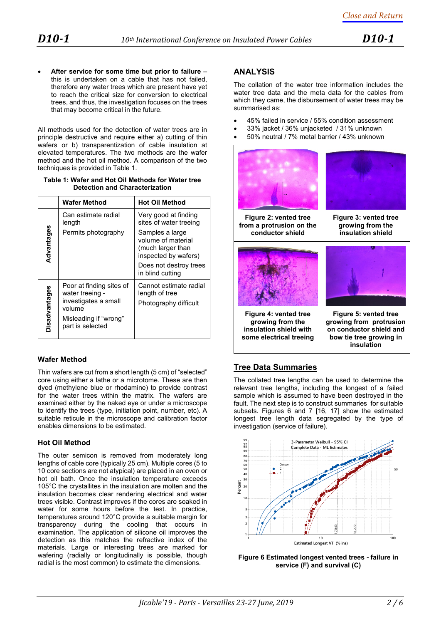• **After service for some time but prior to failure** – this is undertaken on a cable that has not failed, therefore any water trees which are present have yet to reach the critical size for conversion to electrical trees, and thus, the investigation focuses on the trees that may become critical in the future.

All methods used for the detection of water trees are in principle destructive and require either a) cutting of thin wafers or b) transparentization of cable insulation at elevated temperatures. The two methods are the wafer method and the hot oil method. A comparison of the two techniques is provided in Table 1.

| Table 1: Wafer and Hot Oil Methods for Water tree |  |  |  |  |
|---------------------------------------------------|--|--|--|--|
| <b>Detection and Characterization</b>             |  |  |  |  |

|               | <b>Wafer Method</b>                                                           | <b>Hot Oil Method</b>                                                              |  |
|---------------|-------------------------------------------------------------------------------|------------------------------------------------------------------------------------|--|
|               | Can estimate radial<br>length                                                 | Very good at finding<br>sites of water treeing                                     |  |
| Advantages    | Permits photography                                                           | Samples a large<br>volume of material<br>(much larger than<br>inspected by wafers) |  |
|               |                                                                               | Does not destroy trees<br>in blind cutting                                         |  |
| Disadvantages | Poor at finding sites of<br>water treeing -<br>investigates a small<br>volume | Cannot estimate radial<br>length of tree<br>Photography difficult                  |  |
|               | Misleading if "wrong"<br>part is selected                                     |                                                                                    |  |

## **Wafer Method**

Thin wafers are cut from a short length (5 cm) of "selected" core using either a lathe or a microtome. These are then dyed (methylene blue or rhodamine) to provide contrast for the water trees within the matrix. The wafers are examined either by the naked eye or under a microscope to identify the trees (type, initiation point, number, etc). A suitable reticule in the microscope and calibration factor enables dimensions to be estimated.

## **Hot Oil Method**

The outer semicon is removed from moderately long lengths of cable core (typically 25 cm). Multiple cores (5 to 10 core sections are not atypical) are placed in an oven or hot oil bath. Once the insulation temperature exceeds 105°C the crystallites in the insulation are molten and the insulation becomes clear rendering electrical and water trees visible. Contrast improves if the cores are soaked in water for some hours before the test. In practice, temperatures around 120°C provide a suitable margin for transparency during the cooling that occurs in examination. The application of silicone oil improves the detection as this matches the refractive index of the materials. Large or interesting trees are marked for wafering (radially or longitudinally is possible, though radial is the most common) to estimate the dimensions.

## **ANALYSIS**

The collation of the water tree information includes the water tree data and the meta data for the cables from which they came, the disbursement of water trees may be summarised as:

- 45% failed in service / 55% condition assessment
- 33% jacket / 36% unjacketed / 31% unknown
- 50% neutral / 7% metal barrier / 43% unknown



## **Tree Data Summaries**

The collated tree lengths can be used to determine the relevant tree lengths, including the longest of a failed sample which is assumed to have been destroyed in the fault. The next step is to construct summaries for suitable subsets. Figures 6 and 7 [16, 17] show the estimated longest tree length data segregated by the type of investigation (service of failure).



**Figure 6 Estimated longest vented trees - failure in service (F) and survival (C)**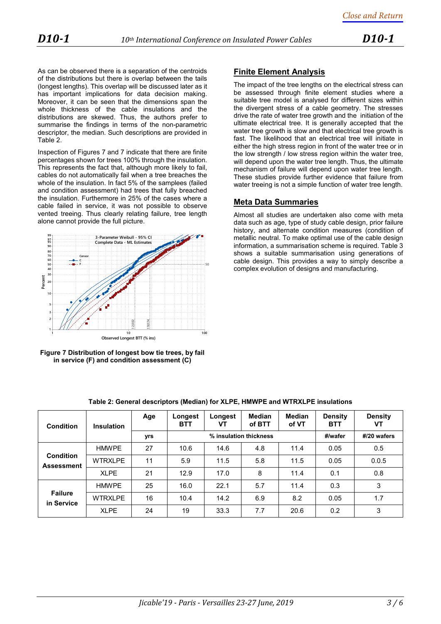As can be observed there is a separation of the centroids of the distributions but there is overlap between the tails (longest lengths). This overlap will be discussed later as it has important implications for data decision making. Moreover, it can be seen that the dimensions span the whole thickness of the cable insulations and the distributions are skewed. Thus, the authors prefer to summarise the findings in terms of the non-parametric descriptor, the median. Such descriptions are provided in Table 2.

Inspection of Figures 7 and 7 indicate that there are finite percentages shown for trees 100% through the insulation. This represents the fact that, although more likely to fail, cables do not automatically fail when a tree breaches the whole of the insulation. In fact 5% of the samplees (failed and condition assessment) had trees that fully breached the insulation. Furthermore in 25% of the cases where a cable failed in service, it was not possible to observe vented treeing. Thus clearly relating failure, tree length alone cannot provide the full picture.





# **Finite Element Analysis**

The impact of the tree lengths on the electrical stress can be assessed through finite element studies where a suitable tree model is analysed for different sizes within the divergent stress of a cable geometry. The stresses drive the rate of water tree growth and the initiation of the ultimate electrical tree. It is generally accepted that the water tree growth is slow and that electrical tree growth is fast. The likelihood that an electrical tree will initiate in either the high stress region in front of the water tree or in the low strength / low stress region within the water tree, will depend upon the water tree length. Thus, the ultimate mechanism of failure will depend upon water tree length. These studies provide further evidence that failure from water treeing is not a simple function of water tree length.

## **Meta Data Summaries**

Almost all studies are undertaken also come with meta data such as age, type of study cable design, prior failure history, and alternate condition measures (condition of metallic neutral. To make optimal use of the cable design information, a summarisation scheme is required. Table 3 shows a suitable summarisation using generations of cable design. This provides a way to simply describe a complex evolution of designs and manufacturing.

| Condition                             | <b>Insulation</b> | Age | Longest<br><b>BTT</b>  | Longest<br>VT | Median<br>of BTT | <b>Median</b><br>of VT | <b>Density</b><br><b>BTT</b> | <b>Density</b><br>VT |
|---------------------------------------|-------------------|-----|------------------------|---------------|------------------|------------------------|------------------------------|----------------------|
|                                       |                   | yrs | % insulation thickness |               |                  |                        | #/wafer                      | #/20 wafers          |
| <b>Condition</b><br><b>Assessment</b> | <b>HMWPE</b>      | 27  | 10.6                   | 14.6          | 4.8              | 11.4                   | 0.05                         | 0.5                  |
|                                       | <b>WTRXLPE</b>    | 11  | 5.9                    | 11.5          | 5.8              | 11.5                   | 0.05                         | 0.0.5                |
|                                       | <b>XLPE</b>       | 21  | 12.9                   | 17.0          | 8                | 11.4                   | 0.1                          | 0.8                  |
| <b>Failure</b><br>in Service          | <b>HMWPE</b>      | 25  | 16.0                   | 22.1          | 5.7              | 11.4                   | 0.3                          | 3                    |
|                                       | <b>WTRXLPE</b>    | 16  | 10.4                   | 14.2          | 6.9              | 8.2                    | 0.05                         | 1.7                  |
|                                       | <b>XLPE</b>       | 24  | 19                     | 33.3          | 7.7              | 20.6                   | 0.2                          | 3                    |

**Table 2: General descriptors (Median) for XLPE, HMWPE and WTRXLPE insulations**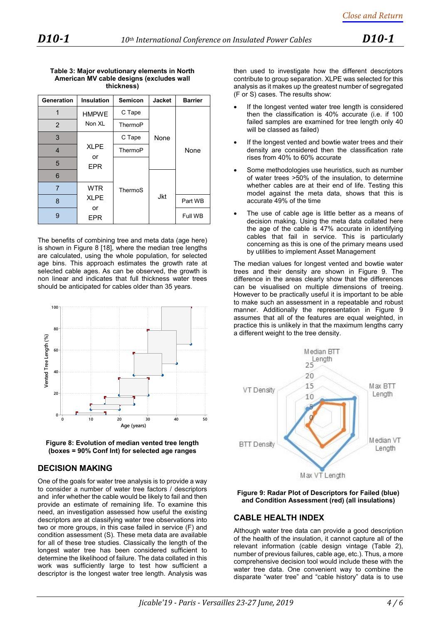| <b>Generation</b> | Insulation       | <b>Semicon</b> | <b>Jacket</b> | <b>Barrier</b> |
|-------------------|------------------|----------------|---------------|----------------|
| 1                 | <b>HMPWE</b>     | C Tape         |               |                |
| 2                 | Non XL           | ThermoP        |               |                |
| 3                 |                  | C Tape         | None          |                |
| $\overline{4}$    | <b>XLPE</b>      | ThermoP        |               | None           |
| 5                 | or<br><b>EPR</b> |                |               |                |
| 6                 |                  |                |               |                |
| 7                 | <b>WTR</b>       | ThermoS        |               |                |
| 8                 | <b>XLPE</b>      |                | Jkt           | Part WB        |
| 9                 | or<br>EPR        |                |               | Full WB        |

#### **Table 3: Major evolutionary elements in North American MV cable designs (excludes wall thickness)**

The benefits of combining tree and meta data (age here) is shown in Figure 8 [18], where the median tree lengths are calculated, using the whole population, for selected age bins. This approach estimates the growth rate at selected cable ages. As can be observed, the growth is non linear and indicates that full thickness water trees should be anticipated for cables older than 35 years.





## **DECISION MAKING**

One of the goals for water tree analysis is to provide a way to consider a number of water tree factors / descriptors and infer whether the cable would be likely to fail and then provide an estimate of remaining life. To examine this need, an investigation assessed how useful the existing descriptors are at classifying water tree observations into two or more groups, in this case failed in service (F) and condition assessment (S). These meta data are available for all of these tree studies. Classically the length of the longest water tree has been considered sufficient to determine the likelihood of failure. The data collated in this work was sufficiently large to test how sufficient a descriptor is the longest water tree length. Analysis was

then used to investigate how the different descriptors contribute to group separation. XLPE was selected for this analysis as it makes up the greatest number of segregated (F or S) cases. The results show:

- If the longest vented water tree length is considered then the classification is 40% accurate (i.e. if 100 failed samples are examined for tree length only 40 will be classed as failed)
- If the longest vented and bowtie water trees and their density are considered then the classification rate rises from 40% to 60% accurate
- Some methodologies use heuristics, such as number of water trees >50% of the insulation, to determine whether cables are at their end of life. Testing this model against the meta data, shows that this is accurate 49% of the time
- The use of cable age is little better as a means of decision making. Using the meta data collated here the age of the cable is 47% accurate in identifying cables that fail in service. This is particularly concerning as this is one of the primary means used by utilities to implement Asset Management

The median values for longest vented and bowtie water trees and their density are shown in Figure 9. The difference in the areas clearly show that the differences can be visualised on multiple dimensions of treeing. However to be practically useful it is important to be able to make such an assessment in a repeatable and robust manner. Additionally the representation in Figure 9 assumes that all of the features are equal weighted, in practice this is unlikely in that the maximum lengths carry a different weight to the tree density.

![](_page_3_Figure_17.jpeg)

**Figure 9: Radar Plot of Descriptors for Failed (blue) and Condition Assessment (red) (all insulations)** 

## **CABLE HEALTH INDEX**

Although water tree data can provide a good description of the health of the insulation, it cannot capture all of the relevant information (cable design vintage (Table 2), number of previous failures, cable age, etc.). Thus, a more comprehensive decision tool would include these with the water tree data. One convenient way to combine the disparate "water tree" and "cable history" data is to use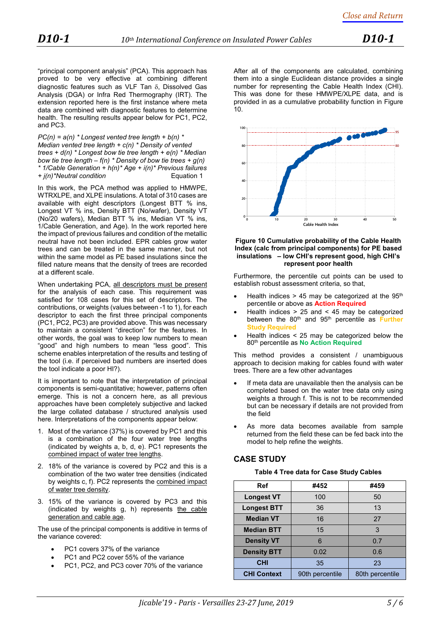"principal component analysis" (PCA). This approach has proved to be very effective at combining different diagnostic features such as VLF Tan δ, Dissolved Gas Analysis (DGA) or Infra Red Thermography (IRT). The extension reported here is the first instance where meta data are combined with diagnostic features to determine health. The resulting results appear below for PC1, PC2, and PC3.

*PC(n) = a(n) \* Longest vented tree length + b(n) \* Median vented tree length + c(n) \* Density of vented trees + d(n) \* Longest bow tie tree length + e(n) \* Median bow tie tree length – f(n) \* Density of bow tie trees + g(n) \* 1/Cable Generation + h(n)\* Age + i(n)\* Previous failures*   $+$  *i(n)*\*Neutral condition

In this work, the PCA method was applied to HMWPE. WTRXLPE, and XLPE insulations. A total of 310 cases are available with eight descriptors (Longest BTT % ins, Longest VT % ins, Density BTT (No/wafer), Density VT (No/20 wafers), Median BTT % ins, Median VT % ins, 1/Cable Generation, and Age). In the work reported here the impact of previous failures and condition of the metallic neutral have not been included. EPR cables grow water trees and can be treated in the same manner, but not within the same model as PE based insulations since the filled nature means that the density of trees are recorded at a different scale.

When undertaking PCA, all descriptors must be present for the analysis of each case. This requirement was satisfied for 108 cases for this set of descriptors. The contributions, or weights (values between -1 to 1), for each descriptor to each the first three principal components (PC1, PC2, PC3) are provided above. This was necessary to maintain a consistent "direction" for the features. In other words, the goal was to keep low numbers to mean "good" and high numbers to mean "less good". This scheme enables interpretation of the results and testing of the tool (i.e. if perceived bad numbers are inserted does the tool indicate a poor HI?).

It is important to note that the interpretation of principal components is semi-quantitative; however, patterns often emerge. This is not a concern here, as all previous approaches have been completely subjective and lacked the large collated database / structured analysis used here. Interpretations of the components appear below:

- 1. Most of the variance (37%) is covered by PC1 and this is a combination of the four water tree lengths (indicated by weights a, b, d, e). PC1 represents the combined impact of water tree lengths.
- 2. 18% of the variance is covered by PC2 and this is a combination of the two water tree densities (indicated by weights c, f). PC2 represents the combined impact of water tree density.
- 3. 15% of the variance is covered by PC3 and this (indicated by weights g, h) represents the cable generation and cable age.

The use of the principal components is additive in terms of the variance covered:

- PC1 covers 37% of the variance
- PC1 and PC2 cover 55% of the variance
- PC1, PC2, and PC3 cover 70% of the variance

After all of the components are calculated, combining them into a single Euclidean distance provides a single number for representing the Cable Health Index (CHI). This was done for these HMWPE/XLPE data, and is provided in as a cumulative probability function in Figure 10.

![](_page_4_Figure_17.jpeg)

#### **Figure 10 Cumulative probability of the Cable Health Index (calc from principal components) for PE based insulations – low CHI's represent good, high CHI's represent poor health**

Furthermore, the percentile cut points can be used to establish robust assessment criteria, so that,

- Health indices  $> 45$  may be categorized at the 95<sup>th</sup> percentile or above as **Action Required**
- Health indices  $> 25$  and  $< 45$  may be categorized between the 80th and 95th percentile as **Further Study Required**
- Health indices  $\leq$  25 may be categorized below the 80th percentile as **No Action Required**

This method provides a consistent / unambiguous approach to decision making for cables found with water trees. There are a few other advantages

- If meta data are unavailable then the analysis can be completed based on the water tree data only using weights a through f. This is not to be recommended but can be necessary if details are not provided from the field
- As more data becomes available from sample returned from the field these can be fed back into the model to help refine the weights.

## **CASE STUDY**

#### **Table 4 Tree data for Case Study Cables**

| <b>Ref</b>         | #452            | #459            |  |
|--------------------|-----------------|-----------------|--|
| <b>Longest VT</b>  | 100             | 50              |  |
| <b>Longest BTT</b> | 36              | 13              |  |
| <b>Median VT</b>   | 16              | 27              |  |
| <b>Median BTT</b>  | 15              | 3               |  |
| <b>Density VT</b>  | 6               | 0.7             |  |
| <b>Density BTT</b> | 0.02            | 0.6             |  |
| <b>CHI</b>         | 35              | 23              |  |
| <b>CHI Context</b> | 90th percentile | 80th percentile |  |